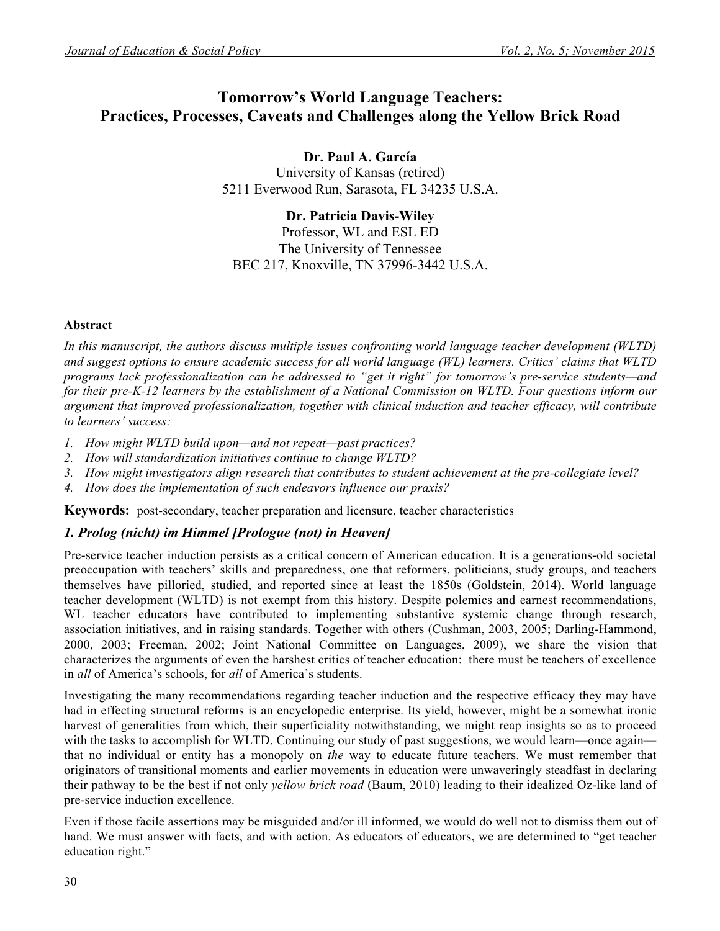# **Tomorrow's World Language Teachers: Practices, Processes, Caveats and Challenges along the Yellow Brick Road**

**Dr. Paul A. García** University of Kansas (retired) 5211 Everwood Run, Sarasota, FL 34235 U.S.A.

**Dr. Patricia Davis-Wiley** Professor, WL and ESL ED The University of Tennessee BEC 217, Knoxville, TN 37996-3442 U.S.A.

#### **Abstract**

*In this manuscript, the authors discuss multiple issues confronting world language teacher development (WLTD) and suggest options to ensure academic success for all world language (WL) learners. Critics' claims that WLTD programs lack professionalization can be addressed to "get it right" for tomorrow's pre-service students—and for their pre-K-12 learners by the establishment of a National Commission on WLTD. Four questions inform our argument that improved professionalization, together with clinical induction and teacher efficacy, will contribute to learners' success:*

- *1. How might WLTD build upon—and not repeat—past practices?*
- *2. How will standardization initiatives continue to change WLTD?*
- *3. How might investigators align research that contributes to student achievement at the pre-collegiate level?*
- *4. How does the implementation of such endeavors influence our praxis?*

**Keywords:** post-secondary, teacher preparation and licensure, teacher characteristics

## *1. Prolog (nicht) im Himmel [Prologue (not) in Heaven]*

Pre-service teacher induction persists as a critical concern of American education. It is a generations-old societal preoccupation with teachers' skills and preparedness, one that reformers, politicians, study groups, and teachers themselves have pilloried, studied, and reported since at least the 1850s (Goldstein, 2014). World language teacher development (WLTD) is not exempt from this history. Despite polemics and earnest recommendations, WL teacher educators have contributed to implementing substantive systemic change through research, association initiatives, and in raising standards. Together with others (Cushman, 2003, 2005; Darling-Hammond, 2000, 2003; Freeman, 2002; Joint National Committee on Languages, 2009), we share the vision that characterizes the arguments of even the harshest critics of teacher education: there must be teachers of excellence in *all* of America's schools, for *all* of America's students.

Investigating the many recommendations regarding teacher induction and the respective efficacy they may have had in effecting structural reforms is an encyclopedic enterprise. Its yield, however, might be a somewhat ironic harvest of generalities from which, their superficiality notwithstanding, we might reap insights so as to proceed with the tasks to accomplish for WLTD. Continuing our study of past suggestions, we would learn—once again that no individual or entity has a monopoly on *the* way to educate future teachers. We must remember that originators of transitional moments and earlier movements in education were unwaveringly steadfast in declaring their pathway to be the best if not only *yellow brick road* (Baum, 2010) leading to their idealized Oz-like land of pre-service induction excellence.

Even if those facile assertions may be misguided and/or ill informed, we would do well not to dismiss them out of hand. We must answer with facts, and with action. As educators of educators, we are determined to "get teacher education right."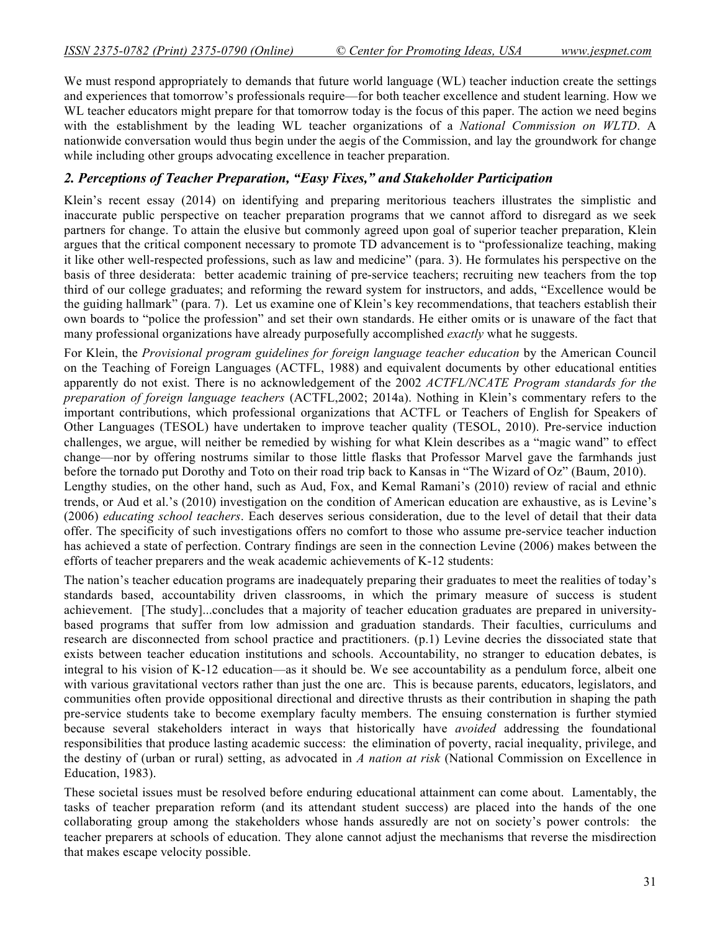efforts of teacher preparers and the weak academic achievements of K-12 students:

We must respond appropriately to demands that future world language (WL) teacher induction create the settings and experiences that tomorrow's professionals require—for both teacher excellence and student learning. How we WL teacher educators might prepare for that tomorrow today is the focus of this paper. The action we need begins with the establishment by the leading WL teacher organizations of a *National Commission on WLTD*. A nationwide conversation would thus begin under the aegis of the Commission, and lay the groundwork for change while including other groups advocating excellence in teacher preparation.

## *2. Perceptions of Teacher Preparation, "Easy Fixes," and Stakeholder Participation*

Klein's recent essay (2014) on identifying and preparing meritorious teachers illustrates the simplistic and inaccurate public perspective on teacher preparation programs that we cannot afford to disregard as we seek partners for change. To attain the elusive but commonly agreed upon goal of superior teacher preparation, Klein argues that the critical component necessary to promote TD advancement is to "professionalize teaching, making it like other well-respected professions, such as law and medicine" (para. 3). He formulates his perspective on the basis of three desiderata: better academic training of pre-service teachers; recruiting new teachers from the top third of our college graduates; and reforming the reward system for instructors, and adds, "Excellence would be the guiding hallmark" (para. 7). Let us examine one of Klein's key recommendations, that teachers establish their own boards to "police the profession" and set their own standards. He either omits or is unaware of the fact that many professional organizations have already purposefully accomplished *exactly* what he suggests.

For Klein, the *Provisional program guidelines for foreign language teacher education* by the American Council on the Teaching of Foreign Languages (ACTFL, 1988) and equivalent documents by other educational entities apparently do not exist. There is no acknowledgement of the 2002 *ACTFL/NCATE Program standards for the preparation of foreign language teachers* (ACTFL,2002; 2014a). Nothing in Klein's commentary refers to the important contributions, which professional organizations that ACTFL or Teachers of English for Speakers of Other Languages (TESOL) have undertaken to improve teacher quality (TESOL, 2010). Pre-service induction challenges, we argue, will neither be remedied by wishing for what Klein describes as a "magic wand" to effect change—nor by offering nostrums similar to those little flasks that Professor Marvel gave the farmhands just before the tornado put Dorothy and Toto on their road trip back to Kansas in "The Wizard of Oz" (Baum, 2010). Lengthy studies, on the other hand, such as Aud, Fox, and Kemal Ramani's (2010) review of racial and ethnic trends, or Aud et al.'s (2010) investigation on the condition of American education are exhaustive, as is Levine's (2006) *educating school teachers*. Each deserves serious consideration, due to the level of detail that their data offer. The specificity of such investigations offers no comfort to those who assume pre-service teacher induction has achieved a state of perfection. Contrary findings are seen in the connection Levine (2006) makes between the

The nation's teacher education programs are inadequately preparing their graduates to meet the realities of today's standards based, accountability driven classrooms, in which the primary measure of success is student achievement. [The study]...concludes that a majority of teacher education graduates are prepared in universitybased programs that suffer from low admission and graduation standards. Their faculties, curriculums and research are disconnected from school practice and practitioners. (p.1) Levine decries the dissociated state that exists between teacher education institutions and schools. Accountability, no stranger to education debates, is integral to his vision of K-12 education—as it should be. We see accountability as a pendulum force, albeit one with various gravitational vectors rather than just the one arc. This is because parents, educators, legislators, and communities often provide oppositional directional and directive thrusts as their contribution in shaping the path pre-service students take to become exemplary faculty members. The ensuing consternation is further stymied because several stakeholders interact in ways that historically have *avoided* addressing the foundational responsibilities that produce lasting academic success: the elimination of poverty, racial inequality, privilege, and the destiny of (urban or rural) setting, as advocated in *A nation at risk* (National Commission on Excellence in Education, 1983).

These societal issues must be resolved before enduring educational attainment can come about. Lamentably, the tasks of teacher preparation reform (and its attendant student success) are placed into the hands of the one collaborating group among the stakeholders whose hands assuredly are not on society's power controls: the teacher preparers at schools of education. They alone cannot adjust the mechanisms that reverse the misdirection that makes escape velocity possible.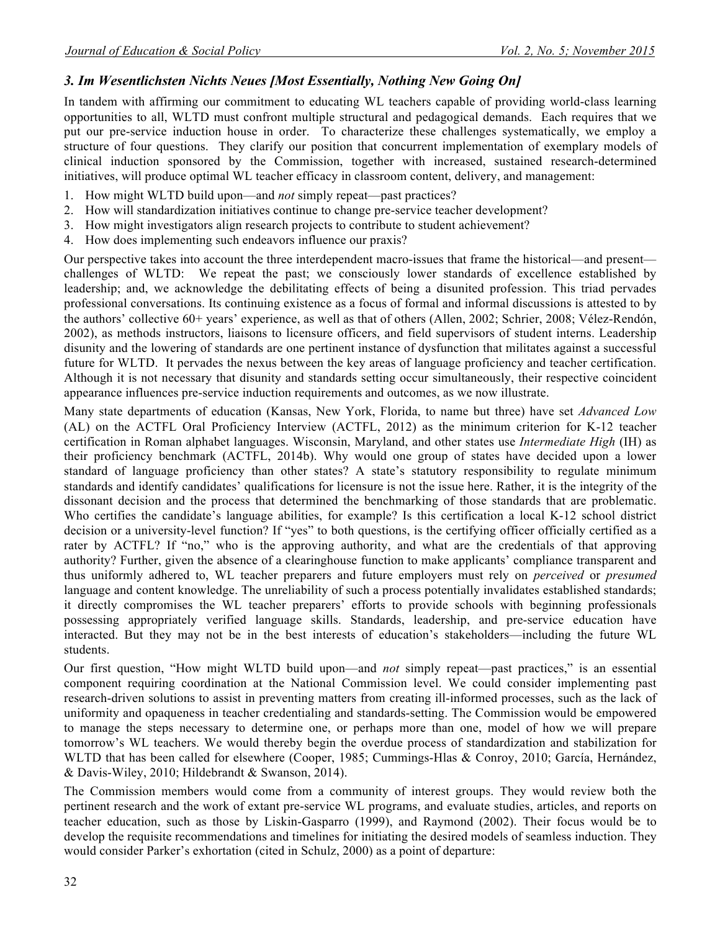## *3. Im Wesentlichsten Nichts Neues [Most Essentially, Nothing New Going On]*

In tandem with affirming our commitment to educating WL teachers capable of providing world-class learning opportunities to all, WLTD must confront multiple structural and pedagogical demands. Each requires that we put our pre-service induction house in order. To characterize these challenges systematically, we employ a structure of four questions. They clarify our position that concurrent implementation of exemplary models of clinical induction sponsored by the Commission, together with increased, sustained research-determined initiatives, will produce optimal WL teacher efficacy in classroom content, delivery, and management:

- 1. How might WLTD build upon—and *not* simply repeat—past practices?
- 2. How will standardization initiatives continue to change pre-service teacher development?
- 3. How might investigators align research projects to contribute to student achievement?
- 4. How does implementing such endeavors influence our praxis?

Our perspective takes into account the three interdependent macro-issues that frame the historical—and present challenges of WLTD: We repeat the past; we consciously lower standards of excellence established by leadership; and, we acknowledge the debilitating effects of being a disunited profession. This triad pervades professional conversations. Its continuing existence as a focus of formal and informal discussions is attested to by the authors' collective 60+ years' experience, as well as that of others (Allen, 2002; Schrier, 2008; Vélez-Rendón, 2002), as methods instructors, liaisons to licensure officers, and field supervisors of student interns. Leadership disunity and the lowering of standards are one pertinent instance of dysfunction that militates against a successful future for WLTD. It pervades the nexus between the key areas of language proficiency and teacher certification. Although it is not necessary that disunity and standards setting occur simultaneously, their respective coincident appearance influences pre-service induction requirements and outcomes, as we now illustrate.

Many state departments of education (Kansas, New York, Florida, to name but three) have set *Advanced Low* (AL) on the ACTFL Oral Proficiency Interview (ACTFL, 2012) as the minimum criterion for K-12 teacher certification in Roman alphabet languages. Wisconsin, Maryland, and other states use *Intermediate High* (IH) as their proficiency benchmark (ACTFL, 2014b). Why would one group of states have decided upon a lower standard of language proficiency than other states? A state's statutory responsibility to regulate minimum standards and identify candidates' qualifications for licensure is not the issue here. Rather, it is the integrity of the dissonant decision and the process that determined the benchmarking of those standards that are problematic. Who certifies the candidate's language abilities, for example? Is this certification a local K-12 school district decision or a university-level function? If "yes" to both questions, is the certifying officer officially certified as a rater by ACTFL? If "no," who is the approving authority, and what are the credentials of that approving authority? Further, given the absence of a clearinghouse function to make applicants' compliance transparent and thus uniformly adhered to, WL teacher preparers and future employers must rely on *perceived* or *presumed* language and content knowledge. The unreliability of such a process potentially invalidates established standards; it directly compromises the WL teacher preparers' efforts to provide schools with beginning professionals possessing appropriately verified language skills. Standards, leadership, and pre-service education have interacted. But they may not be in the best interests of education's stakeholders—including the future WL students.

Our first question, "How might WLTD build upon—and *not* simply repeat—past practices," is an essential component requiring coordination at the National Commission level. We could consider implementing past research-driven solutions to assist in preventing matters from creating ill-informed processes, such as the lack of uniformity and opaqueness in teacher credentialing and standards-setting. The Commission would be empowered to manage the steps necessary to determine one, or perhaps more than one, model of how we will prepare tomorrow's WL teachers. We would thereby begin the overdue process of standardization and stabilization for WLTD that has been called for elsewhere (Cooper, 1985; Cummings-Hlas & Conroy, 2010; García, Hernández, & Davis-Wiley, 2010; Hildebrandt & Swanson, 2014).

The Commission members would come from a community of interest groups. They would review both the pertinent research and the work of extant pre-service WL programs, and evaluate studies, articles, and reports on teacher education, such as those by Liskin-Gasparro (1999), and Raymond (2002). Their focus would be to develop the requisite recommendations and timelines for initiating the desired models of seamless induction. They would consider Parker's exhortation (cited in Schulz, 2000) as a point of departure: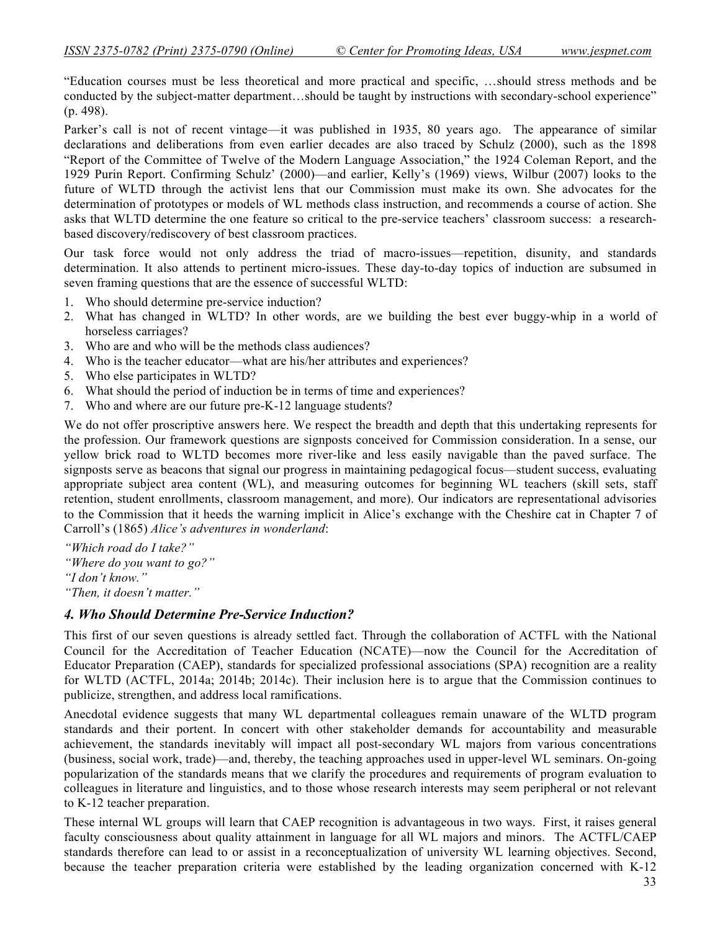"Education courses must be less theoretical and more practical and specific, …should stress methods and be conducted by the subject-matter department…should be taught by instructions with secondary-school experience" (p. 498).

Parker's call is not of recent vintage—it was published in 1935, 80 years ago. The appearance of similar declarations and deliberations from even earlier decades are also traced by Schulz (2000), such as the 1898 "Report of the Committee of Twelve of the Modern Language Association," the 1924 Coleman Report, and the 1929 Purin Report. Confirming Schulz' (2000)—and earlier, Kelly's (1969) views, Wilbur (2007) looks to the future of WLTD through the activist lens that our Commission must make its own. She advocates for the determination of prototypes or models of WL methods class instruction, and recommends a course of action. She asks that WLTD determine the one feature so critical to the pre-service teachers' classroom success: a researchbased discovery/rediscovery of best classroom practices.

Our task force would not only address the triad of macro-issues—repetition, disunity, and standards determination. It also attends to pertinent micro-issues. These day-to-day topics of induction are subsumed in seven framing questions that are the essence of successful WLTD:

- 1. Who should determine pre-service induction?
- 2. What has changed in WLTD? In other words, are we building the best ever buggy-whip in a world of horseless carriages?
- 3. Who are and who will be the methods class audiences?
- 4. Who is the teacher educator—what are his/her attributes and experiences?
- 5. Who else participates in WLTD?
- 6. What should the period of induction be in terms of time and experiences?
- 7. Who and where are our future pre-K-12 language students?

We do not offer proscriptive answers here. We respect the breadth and depth that this undertaking represents for the profession. Our framework questions are signposts conceived for Commission consideration. In a sense, our yellow brick road to WLTD becomes more river-like and less easily navigable than the paved surface. The signposts serve as beacons that signal our progress in maintaining pedagogical focus—student success, evaluating appropriate subject area content (WL), and measuring outcomes for beginning WL teachers (skill sets, staff retention, student enrollments, classroom management, and more). Our indicators are representational advisories to the Commission that it heeds the warning implicit in Alice's exchange with the Cheshire cat in Chapter 7 of Carroll's (1865) *Alice's adventures in wonderland*:

*"Which road do I take?" "Where do you want to go?" "I don't know." "Then, it doesn't matter."*

## *4. Who Should Determine Pre-Service Induction?*

This first of our seven questions is already settled fact. Through the collaboration of ACTFL with the National Council for the Accreditation of Teacher Education (NCATE)—now the Council for the Accreditation of Educator Preparation (CAEP), standards for specialized professional associations (SPA) recognition are a reality for WLTD (ACTFL, 2014a; 2014b; 2014c). Their inclusion here is to argue that the Commission continues to publicize, strengthen, and address local ramifications.

Anecdotal evidence suggests that many WL departmental colleagues remain unaware of the WLTD program standards and their portent. In concert with other stakeholder demands for accountability and measurable achievement, the standards inevitably will impact all post-secondary WL majors from various concentrations (business, social work, trade)—and, thereby, the teaching approaches used in upper-level WL seminars. On-going popularization of the standards means that we clarify the procedures and requirements of program evaluation to colleagues in literature and linguistics, and to those whose research interests may seem peripheral or not relevant to K-12 teacher preparation.

These internal WL groups will learn that CAEP recognition is advantageous in two ways. First, it raises general faculty consciousness about quality attainment in language for all WL majors and minors. The ACTFL/CAEP standards therefore can lead to or assist in a reconceptualization of university WL learning objectives. Second, because the teacher preparation criteria were established by the leading organization concerned with K-12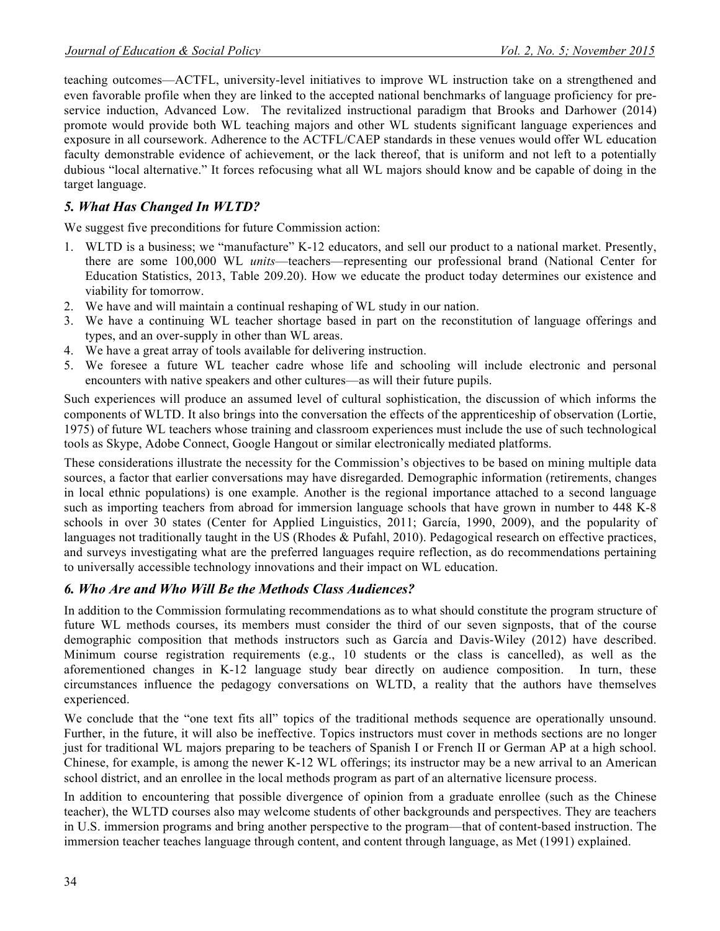teaching outcomes—ACTFL, university-level initiatives to improve WL instruction take on a strengthened and even favorable profile when they are linked to the accepted national benchmarks of language proficiency for preservice induction, Advanced Low. The revitalized instructional paradigm that Brooks and Darhower (2014) promote would provide both WL teaching majors and other WL students significant language experiences and exposure in all coursework. Adherence to the ACTFL/CAEP standards in these venues would offer WL education faculty demonstrable evidence of achievement, or the lack thereof, that is uniform and not left to a potentially dubious "local alternative." It forces refocusing what all WL majors should know and be capable of doing in the target language.

## *5. What Has Changed In WLTD?*

We suggest five preconditions for future Commission action:

- 1. WLTD is a business; we "manufacture" K-12 educators, and sell our product to a national market. Presently, there are some 100,000 WL *units*—teachers—representing our professional brand (National Center for Education Statistics, 2013, Table 209.20). How we educate the product today determines our existence and viability for tomorrow.
- 2. We have and will maintain a continual reshaping of WL study in our nation.
- 3. We have a continuing WL teacher shortage based in part on the reconstitution of language offerings and types, and an over-supply in other than WL areas.
- 4. We have a great array of tools available for delivering instruction.
- 5. We foresee a future WL teacher cadre whose life and schooling will include electronic and personal encounters with native speakers and other cultures—as will their future pupils.

Such experiences will produce an assumed level of cultural sophistication, the discussion of which informs the components of WLTD. It also brings into the conversation the effects of the apprenticeship of observation (Lortie, 1975) of future WL teachers whose training and classroom experiences must include the use of such technological tools as Skype, Adobe Connect, Google Hangout or similar electronically mediated platforms.

These considerations illustrate the necessity for the Commission's objectives to be based on mining multiple data sources, a factor that earlier conversations may have disregarded. Demographic information (retirements, changes in local ethnic populations) is one example. Another is the regional importance attached to a second language such as importing teachers from abroad for immersion language schools that have grown in number to 448 K-8 schools in over 30 states (Center for Applied Linguistics, 2011; García, 1990, 2009), and the popularity of languages not traditionally taught in the US (Rhodes & Pufahl, 2010). Pedagogical research on effective practices, and surveys investigating what are the preferred languages require reflection, as do recommendations pertaining to universally accessible technology innovations and their impact on WL education.

#### *6. Who Are and Who Will Be the Methods Class Audiences?*

In addition to the Commission formulating recommendations as to what should constitute the program structure of future WL methods courses, its members must consider the third of our seven signposts, that of the course demographic composition that methods instructors such as García and Davis-Wiley (2012) have described. Minimum course registration requirements (e.g., 10 students or the class is cancelled), as well as the aforementioned changes in K-12 language study bear directly on audience composition. In turn, these circumstances influence the pedagogy conversations on WLTD, a reality that the authors have themselves experienced.

We conclude that the "one text fits all" topics of the traditional methods sequence are operationally unsound. Further, in the future, it will also be ineffective. Topics instructors must cover in methods sections are no longer just for traditional WL majors preparing to be teachers of Spanish I or French II or German AP at a high school. Chinese, for example, is among the newer K-12 WL offerings; its instructor may be a new arrival to an American school district, and an enrollee in the local methods program as part of an alternative licensure process.

In addition to encountering that possible divergence of opinion from a graduate enrollee (such as the Chinese teacher), the WLTD courses also may welcome students of other backgrounds and perspectives. They are teachers in U.S. immersion programs and bring another perspective to the program—that of content-based instruction. The immersion teacher teaches language through content, and content through language, as Met (1991) explained.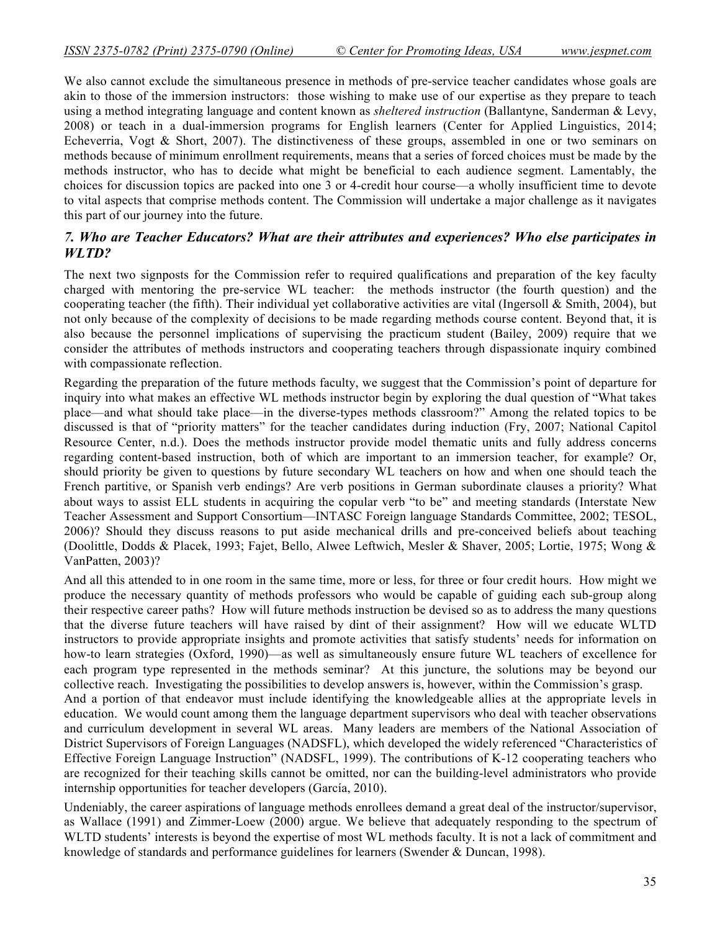We also cannot exclude the simultaneous presence in methods of pre-service teacher candidates whose goals are akin to those of the immersion instructors: those wishing to make use of our expertise as they prepare to teach using a method integrating language and content known as *sheltered instruction* (Ballantyne, Sanderman & Levy, 2008) or teach in a dual-immersion programs for English learners (Center for Applied Linguistics, 2014; Echeverria, Vogt & Short, 2007). The distinctiveness of these groups, assembled in one or two seminars on methods because of minimum enrollment requirements, means that a series of forced choices must be made by the methods instructor, who has to decide what might be beneficial to each audience segment. Lamentably, the choices for discussion topics are packed into one 3 or 4-credit hour course—a wholly insufficient time to devote to vital aspects that comprise methods content. The Commission will undertake a major challenge as it navigates this part of our journey into the future.

### *7. Who are Teacher Educators? What are their attributes and experiences? Who else participates in WLTD?*

The next two signposts for the Commission refer to required qualifications and preparation of the key faculty charged with mentoring the pre-service WL teacher: the methods instructor (the fourth question) and the cooperating teacher (the fifth). Their individual yet collaborative activities are vital (Ingersoll  $\&$  Smith, 2004), but not only because of the complexity of decisions to be made regarding methods course content. Beyond that, it is also because the personnel implications of supervising the practicum student (Bailey, 2009) require that we consider the attributes of methods instructors and cooperating teachers through dispassionate inquiry combined with compassionate reflection.

Regarding the preparation of the future methods faculty, we suggest that the Commission's point of departure for inquiry into what makes an effective WL methods instructor begin by exploring the dual question of "What takes place—and what should take place—in the diverse-types methods classroom?" Among the related topics to be discussed is that of "priority matters" for the teacher candidates during induction (Fry, 2007; National Capitol Resource Center, n.d.). Does the methods instructor provide model thematic units and fully address concerns regarding content-based instruction, both of which are important to an immersion teacher, for example? Or, should priority be given to questions by future secondary WL teachers on how and when one should teach the French partitive, or Spanish verb endings? Are verb positions in German subordinate clauses a priority? What about ways to assist ELL students in acquiring the copular verb "to be" and meeting standards (Interstate New Teacher Assessment and Support Consortium—INTASC Foreign language Standards Committee, 2002; TESOL, 2006)? Should they discuss reasons to put aside mechanical drills and pre-conceived beliefs about teaching (Doolittle, Dodds & Placek, 1993; Fajet, Bello, Alwee Leftwich, Mesler & Shaver, 2005; Lortie, 1975; Wong & VanPatten, 2003)?

And all this attended to in one room in the same time, more or less, for three or four credit hours. How might we produce the necessary quantity of methods professors who would be capable of guiding each sub-group along their respective career paths? How will future methods instruction be devised so as to address the many questions that the diverse future teachers will have raised by dint of their assignment? How will we educate WLTD instructors to provide appropriate insights and promote activities that satisfy students' needs for information on how-to learn strategies (Oxford, 1990)—as well as simultaneously ensure future WL teachers of excellence for each program type represented in the methods seminar? At this juncture, the solutions may be beyond our collective reach. Investigating the possibilities to develop answers is, however, within the Commission's grasp.

And a portion of that endeavor must include identifying the knowledgeable allies at the appropriate levels in education. We would count among them the language department supervisors who deal with teacher observations and curriculum development in several WL areas. Many leaders are members of the National Association of District Supervisors of Foreign Languages (NADSFL), which developed the widely referenced "Characteristics of Effective Foreign Language Instruction" (NADSFL, 1999). The contributions of K-12 cooperating teachers who are recognized for their teaching skills cannot be omitted, nor can the building-level administrators who provide internship opportunities for teacher developers (García, 2010).

Undeniably, the career aspirations of language methods enrollees demand a great deal of the instructor/supervisor, as Wallace (1991) and Zimmer-Loew (2000) argue. We believe that adequately responding to the spectrum of WLTD students' interests is beyond the expertise of most WL methods faculty. It is not a lack of commitment and knowledge of standards and performance guidelines for learners (Swender & Duncan, 1998).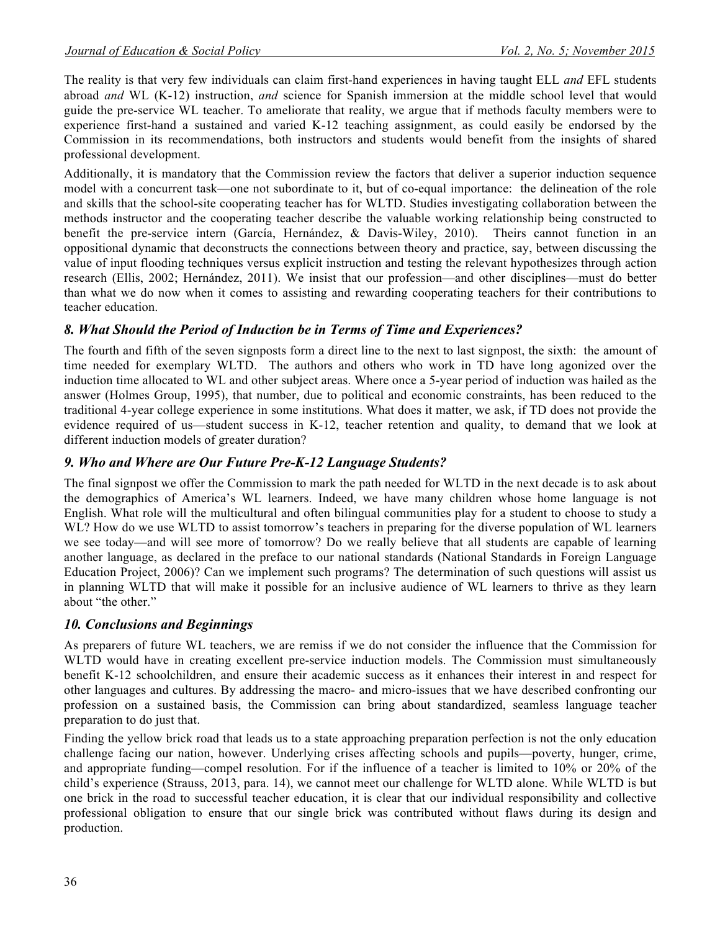The reality is that very few individuals can claim first-hand experiences in having taught ELL *and* EFL students abroad *and* WL (K-12) instruction, *and* science for Spanish immersion at the middle school level that would guide the pre-service WL teacher. To ameliorate that reality, we argue that if methods faculty members were to experience first-hand a sustained and varied K-12 teaching assignment, as could easily be endorsed by the Commission in its recommendations, both instructors and students would benefit from the insights of shared professional development.

Additionally, it is mandatory that the Commission review the factors that deliver a superior induction sequence model with a concurrent task—one not subordinate to it, but of co-equal importance: the delineation of the role and skills that the school-site cooperating teacher has for WLTD. Studies investigating collaboration between the methods instructor and the cooperating teacher describe the valuable working relationship being constructed to benefit the pre-service intern (García, Hernández, & Davis-Wiley, 2010). Theirs cannot function in an oppositional dynamic that deconstructs the connections between theory and practice, say, between discussing the value of input flooding techniques versus explicit instruction and testing the relevant hypothesizes through action research (Ellis, 2002; Hernández, 2011). We insist that our profession—and other disciplines—must do better than what we do now when it comes to assisting and rewarding cooperating teachers for their contributions to teacher education.

### *8. What Should the Period of Induction be in Terms of Time and Experiences?*

The fourth and fifth of the seven signposts form a direct line to the next to last signpost, the sixth: the amount of time needed for exemplary WLTD. The authors and others who work in TD have long agonized over the induction time allocated to WL and other subject areas. Where once a 5-year period of induction was hailed as the answer (Holmes Group, 1995), that number, due to political and economic constraints, has been reduced to the traditional 4-year college experience in some institutions. What does it matter, we ask, if TD does not provide the evidence required of us—student success in K-12, teacher retention and quality, to demand that we look at different induction models of greater duration?

### *9. Who and Where are Our Future Pre-K-12 Language Students?*

The final signpost we offer the Commission to mark the path needed for WLTD in the next decade is to ask about the demographics of America's WL learners. Indeed, we have many children whose home language is not English. What role will the multicultural and often bilingual communities play for a student to choose to study a WL? How do we use WLTD to assist tomorrow's teachers in preparing for the diverse population of WL learners we see today—and will see more of tomorrow? Do we really believe that all students are capable of learning another language, as declared in the preface to our national standards (National Standards in Foreign Language Education Project, 2006)? Can we implement such programs? The determination of such questions will assist us in planning WLTD that will make it possible for an inclusive audience of WL learners to thrive as they learn about "the other."

#### *10. Conclusions and Beginnings*

As preparers of future WL teachers, we are remiss if we do not consider the influence that the Commission for WLTD would have in creating excellent pre-service induction models. The Commission must simultaneously benefit K-12 schoolchildren, and ensure their academic success as it enhances their interest in and respect for other languages and cultures. By addressing the macro- and micro-issues that we have described confronting our profession on a sustained basis, the Commission can bring about standardized, seamless language teacher preparation to do just that.

Finding the yellow brick road that leads us to a state approaching preparation perfection is not the only education challenge facing our nation, however. Underlying crises affecting schools and pupils—poverty, hunger, crime, and appropriate funding—compel resolution. For if the influence of a teacher is limited to 10% or 20% of the child's experience (Strauss, 2013, para. 14), we cannot meet our challenge for WLTD alone. While WLTD is but one brick in the road to successful teacher education, it is clear that our individual responsibility and collective professional obligation to ensure that our single brick was contributed without flaws during its design and production.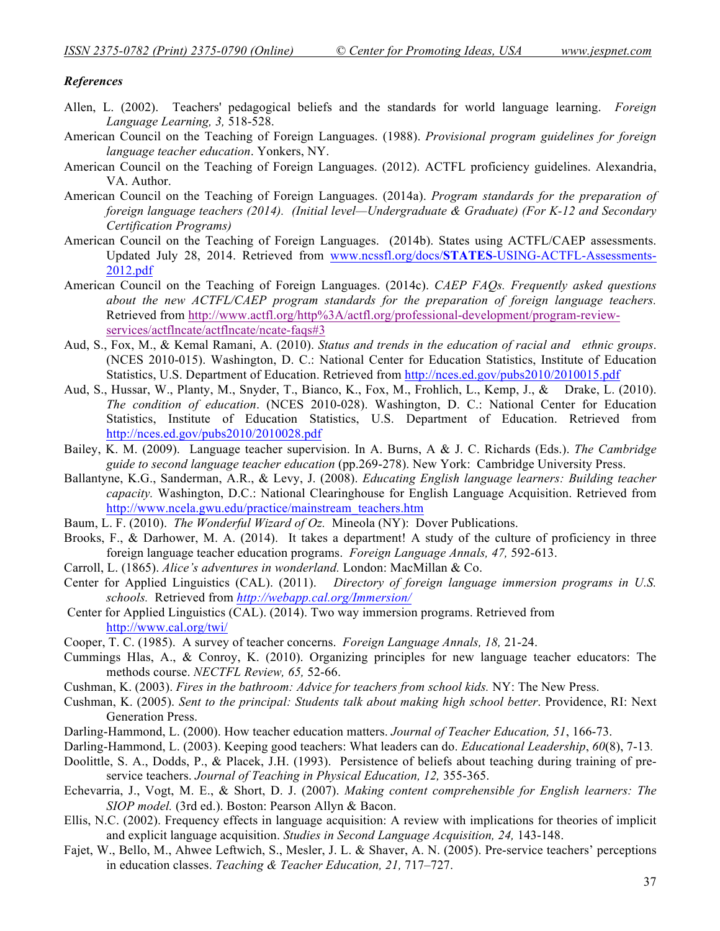#### *References*

- Allen, L. (2002). Teachers' pedagogical beliefs and the standards for world language learning. *Foreign Language Learning, 3,* 518-528.
- American Council on the Teaching of Foreign Languages. (1988). *Provisional program guidelines for foreign language teacher education*. Yonkers, NY.
- American Council on the Teaching of Foreign Languages. (2012). ACTFL proficiency guidelines. Alexandria, VA. Author.
- American Council on the Teaching of Foreign Languages. (2014a). *Program standards for the preparation of foreign language teachers (2014). (Initial level—Undergraduate & Graduate) (For K-12 and Secondary Certification Programs)*
- American Council on the Teaching of Foreign Languages. (2014b). States using ACTFL/CAEP assessments. Updated July 28, 2014. Retrieved from www.ncssfl.org/docs/**STATES**-USING-ACTFL-Assessments-2012.pdf
- American Council on the Teaching of Foreign Languages. (2014c). *CAEP FAQs. Frequently asked questions about the new ACTFL/CAEP program standards for the preparation of foreign language teachers.*  Retrieved from http://www.actfl.org/http%3A/actfl.org/professional-development/program-reviewservices/actflncate/actflncate/ncate-faqs#3
- Aud, S., Fox, M., & Kemal Ramani, A. (2010). *Status and trends in the education of racial and ethnic groups*. (NCES 2010-015). Washington, D. C.: National Center for Education Statistics, Institute of Education Statistics, U.S. Department of Education. Retrieved from http://nces.ed.gov/pubs2010/2010015.pdf
- Aud, S., Hussar, W., Planty, M., Snyder, T., Bianco, K., Fox, M., Frohlich, L., Kemp, J., & Drake, L. (2010). *The condition of education*. (NCES 2010-028). Washington, D. C.: National Center for Education Statistics, Institute of Education Statistics, U.S. Department of Education. Retrieved from http://nces.ed.gov/pubs2010/2010028.pdf
- Bailey, K. M. (2009). Language teacher supervision. In A. Burns, A & J. C. Richards (Eds.). *The Cambridge guide to second language teacher education* (pp.269-278). New York: Cambridge University Press.
- Ballantyne, K.G., Sanderman, A.R., & Levy, J. (2008). *Educating English language learners: Building teacher capacity.* Washington, D.C.: National Clearinghouse for English Language Acquisition. Retrieved from http://www.ncela.gwu.edu/practice/mainstream\_teachers.htm
- Baum, L. F. (2010). *The Wonderful Wizard of Oz.* Mineola (NY): Dover Publications.
- Brooks, F., & Darhower, M. A. (2014). It takes a department! A study of the culture of proficiency in three foreign language teacher education programs. *Foreign Language Annals, 47,* 592-613.
- Carroll, L. (1865). *Alice's adventures in wonderland.* London: MacMillan & Co.
- Center for Applied Linguistics (CAL). (2011). *Directory of foreign language immersion programs in U.S. schools.* Retrieved from *http://webapp.cal.org/Immersion/*
- Center for Applied Linguistics (CAL). (2014). Two way immersion programs. Retrieved from http://www.cal.org/twi/
- Cooper, T. C. (1985). A survey of teacher concerns. *Foreign Language Annals, 18,* 21-24.
- Cummings Hlas, A., & Conroy, K. (2010). Organizing principles for new language teacher educators: The methods course. *NECTFL Review, 65,* 52-66.
- Cushman, K. (2003). *Fires in the bathroom: Advice for teachers from school kids.* NY: The New Press.
- Cushman, K. (2005). *Sent to the principal: Students talk about making high school better*. Providence, RI: Next Generation Press.
- Darling-Hammond, L. (2000). How teacher education matters. *Journal of Teacher Education, 51*, 166-73.
- Darling-Hammond, L. (2003). Keeping good teachers: What leaders can do. *Educational Leadership*, *60*(8), 7-13*.*
- Doolittle, S. A., Dodds, P., & Placek, J.H. (1993). Persistence of beliefs about teaching during training of preservice teachers. *Journal of Teaching in Physical Education, 12,* 355-365.
- Echevarria, J., Vogt, M. E., & Short, D. J. (2007). *Making content comprehensible for English learners: The SIOP model.* (3rd ed.). Boston: Pearson Allyn & Bacon.
- Ellis, N.C. (2002). Frequency effects in language acquisition: A review with implications for theories of implicit and explicit language acquisition. *Studies in Second Language Acquisition, 24,* 143-148.
- Fajet, W., Bello, M., Ahwee Leftwich, S., Mesler, J. L. & Shaver, A. N. (2005). Pre-service teachers' perceptions in education classes. *Teaching & Teacher Education, 21,* 717–727.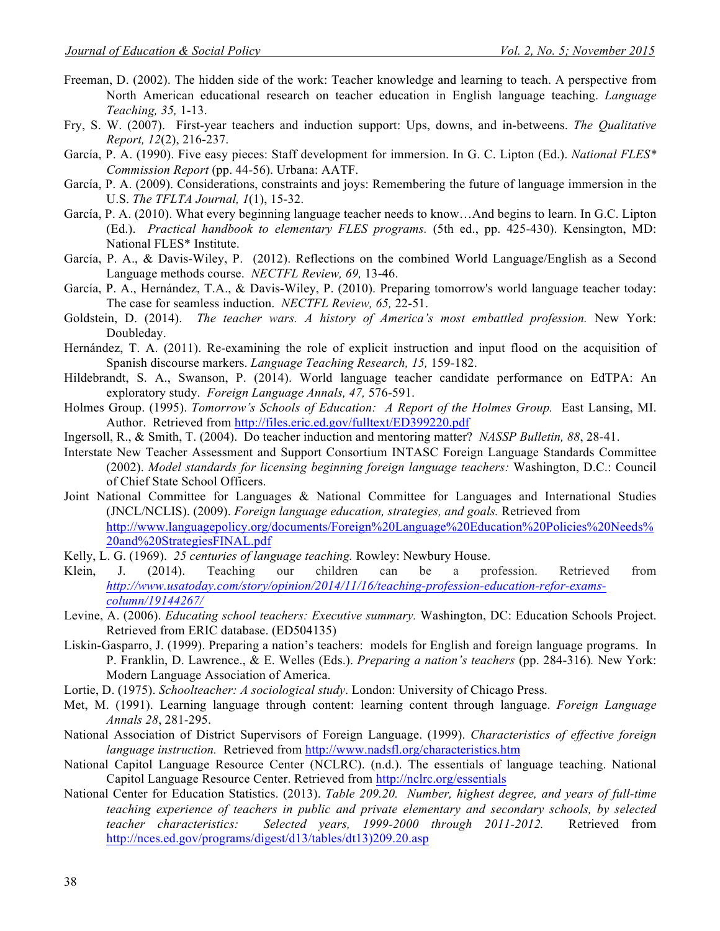- Freeman, D. (2002). The hidden side of the work: Teacher knowledge and learning to teach. A perspective from North American educational research on teacher education in English language teaching. *Language Teaching, 35,* 1-13.
- Fry, S. W. (2007). First-year teachers and induction support: Ups, downs, and in-betweens. *The Qualitative Report, 12*(2), 216-237.
- García, P. A. (1990). Five easy pieces: Staff development for immersion. In G. C. Lipton (Ed.). *National FLES\* Commission Report* (pp. 44-56). Urbana: AATF.
- García, P. A. (2009). Considerations, constraints and joys: Remembering the future of language immersion in the U.S. *The TFLTA Journal, 1*(1), 15-32.
- García, P. A. (2010). What every beginning language teacher needs to know…And begins to learn. In G.C. Lipton (Ed.). *Practical handbook to elementary FLES programs.* (5th ed., pp. 425-430). Kensington, MD: National FLES\* Institute.
- García, P. A., & Davis-Wiley, P. (2012). Reflections on the combined World Language/English as a Second Language methods course. *NECTFL Review, 69,* 13-46.
- García, P. A., Hernández, T.A., & Davis-Wiley, P. (2010). Preparing tomorrow's world language teacher today: The case for seamless induction. *NECTFL Review, 65,* 22-51.
- Goldstein, D. (2014). *The teacher wars. A history of America's most embattled profession.* New York: Doubleday.
- Hernández, T. A. (2011). Re-examining the role of explicit instruction and input flood on the acquisition of Spanish discourse markers. *Language Teaching Research, 15,* 159-182.
- Hildebrandt, S. A., Swanson, P. (2014). World language teacher candidate performance on EdTPA: An exploratory study. *Foreign Language Annals, 47,* 576-591.
- Holmes Group. (1995). *Tomorrow's Schools of Education: A Report of the Holmes Group.* East Lansing, MI. Author. Retrieved from http://files.eric.ed.gov/fulltext/ED399220.pdf
- Ingersoll, R., & Smith, T. (2004). Do teacher induction and mentoring matter? *NASSP Bulletin, 88*, 28-41.
- Interstate New Teacher Assessment and Support Consortium INTASC Foreign Language Standards Committee (2002). *Model standards for licensing beginning foreign language teachers:* Washington, D.C.: Council of Chief State School Officers.
- Joint National Committee for Languages & National Committee for Languages and International Studies (JNCL/NCLIS). (2009). *Foreign language education, strategies, and goals.* Retrieved from http://www.languagepolicy.org/documents/Foreign%20Language%20Education%20Policies%20Needs% 20and%20StrategiesFINAL.pdf
- Kelly, L. G. (1969). *25 centuries of language teaching.* Rowley: Newbury House.
- Klein, J. (2014). Teaching our children can be a profession. Retrieved from *http://www.usatoday.com/story/opinion/2014/11/16/teaching-profession-education-refor-examscolumn/19144267/*
- Levine, A. (2006). *Educating school teachers: Executive summary.* Washington, DC: Education Schools Project. Retrieved from ERIC database. (ED504135)
- Liskin-Gasparro, J. (1999). Preparing a nation's teachers: models for English and foreign language programs. In P. Franklin, D. Lawrence., & E. Welles (Eds.). *Preparing a nation's teachers* (pp. 284-316)*.* New York: Modern Language Association of America.
- Lortie, D. (1975). *Schoolteacher: A sociological study*. London: University of Chicago Press.
- Met, M. (1991). Learning language through content: learning content through language. *Foreign Language Annals 28*, 281-295.
- National Association of District Supervisors of Foreign Language. (1999). *Characteristics of effective foreign language instruction.* Retrieved from http://www.nadsfl.org/characteristics.htm
- National Capitol Language Resource Center (NCLRC). (n.d.). The essentials of language teaching. National Capitol Language Resource Center. Retrieved from http://nclrc.org/essentials
- National Center for Education Statistics. (2013). *Table 209.20. Number, highest degree, and years of full-time teaching experience of teachers in public and private elementary and secondary schools, by selected teacher characteristics: Selected years, 1999-2000 through 2011-2012. Retrieved from Selected years, 1999-2000 through 2011-2012.* Retrieved from http://nces.ed.gov/programs/digest/d13/tables/dt13)209.20.asp